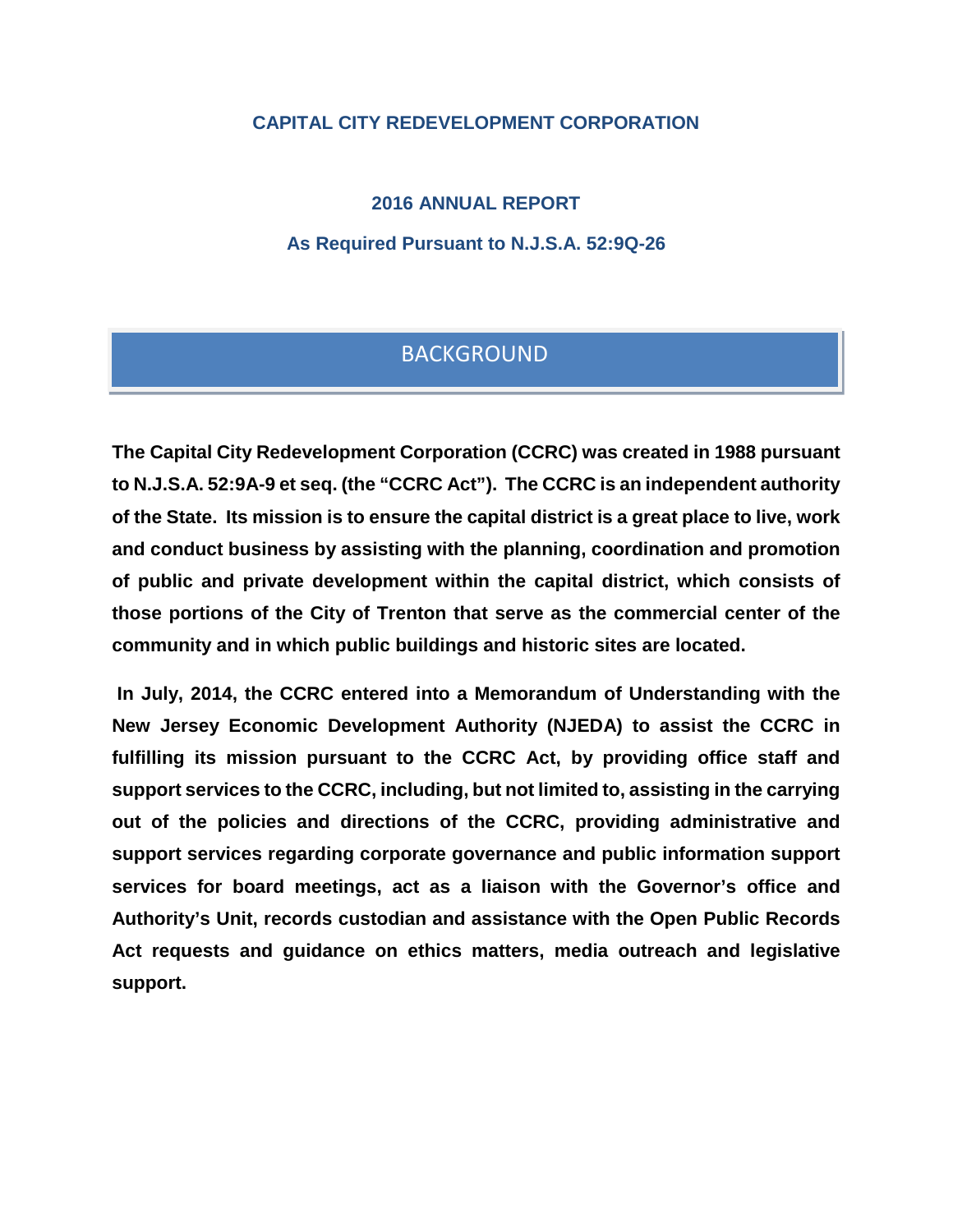# **CAPITAL CITY REDEVELOPMENT CORPORATION**

**2016 ANNUAL REPORT**

**As Required Pursuant to N.J.S.A. 52:9Q-26**

# **BACKGROUND**

**The Capital City Redevelopment Corporation (CCRC) was created in 1988 pursuant to N.J.S.A. 52:9A-9 et seq. (the "CCRC Act"). The CCRC is an independent authority of the State. Its mission is to ensure the capital district is a great place to live, work and conduct business by assisting with the planning, coordination and promotion of public and private development within the capital district, which consists of those portions of the City of Trenton that serve as the commercial center of the community and in which public buildings and historic sites are located.**

**In July, 2014, the CCRC entered into a Memorandum of Understanding with the New Jersey Economic Development Authority (NJEDA) to assist the CCRC in fulfilling its mission pursuant to the CCRC Act, by providing office staff and support services to the CCRC, including, but not limited to, assisting in the carrying out of the policies and directions of the CCRC, providing administrative and support services regarding corporate governance and public information support services for board meetings, act as a liaison with the Governor's office and Authority's Unit, records custodian and assistance with the Open Public Records Act requests and guidance on ethics matters, media outreach and legislative support.**